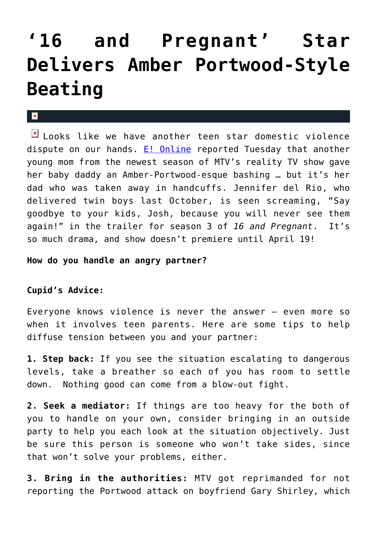## **['16 and Pregnant' Star](https://cupidspulse.com/13386/16-and-pregnant-star-delivers-amber-portwood-style-beating/) [Delivers Amber Portwood-Style](https://cupidspulse.com/13386/16-and-pregnant-star-delivers-amber-portwood-style-beating/) [Beating](https://cupidspulse.com/13386/16-and-pregnant-star-delivers-amber-portwood-style-beating/)**

## $\mathbf{x}$

 $\boxed{\times}$  Looks like we have another teen star domestic violence dispute on our hands. [E! Online](http://www.eonline.com/uberblog/watch_with_kristin/b234849_16_pregnant_strikes.html) reported Tuesday that another young mom from the newest season of MTV's reality TV show gave her baby daddy an Amber-Portwood-esque bashing … but it's her dad who was taken away in handcuffs. Jennifer del Rio, who delivered twin boys last October, is seen screaming, "Say goodbye to your kids, Josh, because you will never see them again!" in the trailer for season 3 of *16 and Pregnant*. It's so much drama, and show doesn't premiere until April 19!

**How do you handle an angry partner?**

## **Cupid's Advice:**

Everyone knows violence is never the answer – even more so when it involves teen parents. Here are some tips to help diffuse tension between you and your partner:

**1. Step back:** If you see the situation escalating to dangerous levels, take a breather so each of you has room to settle down. Nothing good can come from a blow-out fight.

**2. Seek a mediator:** If things are too heavy for the both of you to handle on your own, consider bringing in an outside party to help you each look at the situation objectively. Just be sure this person is someone who won't take sides, since that won't solve your problems, either.

**3. Bring in the authorities:** MTV got reprimanded for not reporting the Portwood attack on boyfriend Gary Shirley, which